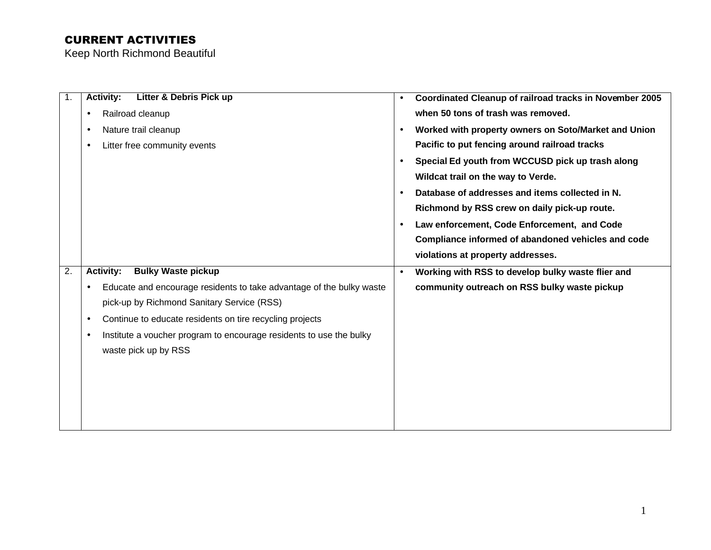| $\mathbf 1$ .    | <b>Activity:</b><br>Litter & Debris Pick up                                       | $\bullet$ | Coordinated Cleanup of railroad tracks in November 2005 |
|------------------|-----------------------------------------------------------------------------------|-----------|---------------------------------------------------------|
|                  | Railroad cleanup<br>$\bullet$                                                     |           | when 50 tons of trash was removed.                      |
|                  | Nature trail cleanup<br>$\bullet$                                                 | $\bullet$ | Worked with property owners on Soto/Market and Union    |
|                  | Litter free community events<br>$\bullet$                                         |           | Pacific to put fencing around railroad tracks           |
|                  |                                                                                   | $\bullet$ | Special Ed youth from WCCUSD pick up trash along        |
|                  |                                                                                   |           | Wildcat trail on the way to Verde.                      |
|                  |                                                                                   |           | Database of addresses and items collected in N.         |
|                  |                                                                                   |           | Richmond by RSS crew on daily pick-up route.            |
|                  |                                                                                   | $\bullet$ | Law enforcement, Code Enforcement, and Code             |
|                  |                                                                                   |           | Compliance informed of abandoned vehicles and code      |
|                  |                                                                                   |           | violations at property addresses.                       |
| $\overline{2}$ . | <b>Activity:</b><br><b>Bulky Waste pickup</b>                                     |           | Working with RSS to develop bulky waste flier and       |
|                  | Educate and encourage residents to take advantage of the bulky waste<br>$\bullet$ |           | community outreach on RSS bulky waste pickup            |
|                  | pick-up by Richmond Sanitary Service (RSS)                                        |           |                                                         |
|                  | Continue to educate residents on tire recycling projects<br>$\bullet$             |           |                                                         |
|                  | Institute a voucher program to encourage residents to use the bulky<br>$\bullet$  |           |                                                         |
|                  | waste pick up by RSS                                                              |           |                                                         |
|                  |                                                                                   |           |                                                         |
|                  |                                                                                   |           |                                                         |
|                  |                                                                                   |           |                                                         |
|                  |                                                                                   |           |                                                         |
|                  |                                                                                   |           |                                                         |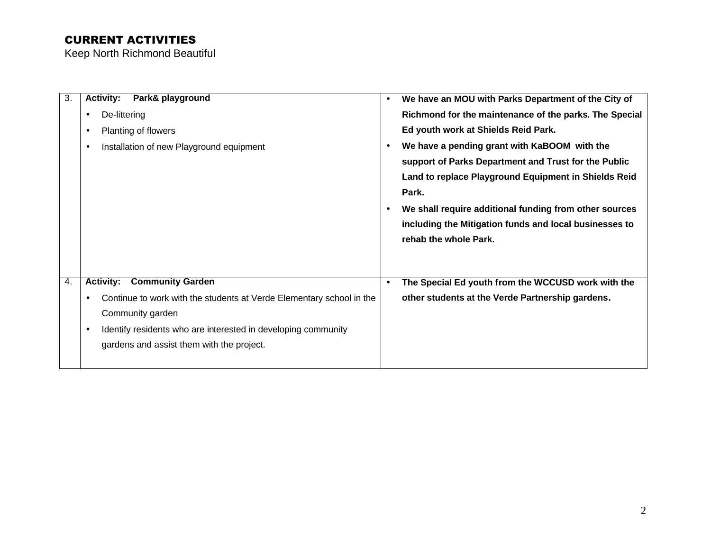| 3. | Park& playground<br><b>Activity:</b>                                       | We have an MOU with Parks Department of the City of<br>$\bullet$    |
|----|----------------------------------------------------------------------------|---------------------------------------------------------------------|
|    | De-littering<br>$\bullet$                                                  | Richmond for the maintenance of the parks. The Special              |
|    | Planting of flowers<br>$\bullet$                                           | Ed youth work at Shields Reid Park.                                 |
|    | Installation of new Playground equipment<br>$\bullet$                      | We have a pending grant with KaBOOM with the<br>$\bullet$           |
|    |                                                                            | support of Parks Department and Trust for the Public                |
|    |                                                                            | Land to replace Playground Equipment in Shields Reid                |
|    |                                                                            | Park.                                                               |
|    |                                                                            | We shall require additional funding from other sources<br>$\bullet$ |
|    |                                                                            | including the Mitigation funds and local businesses to              |
|    |                                                                            | rehab the whole Park.                                               |
|    |                                                                            |                                                                     |
|    |                                                                            |                                                                     |
| 4. | <b>Activity: Community Garden</b>                                          | The Special Ed youth from the WCCUSD work with the<br>$\bullet$     |
|    | Continue to work with the students at Verde Elementary school in the       | other students at the Verde Partnership gardens.                    |
|    | Community garden                                                           |                                                                     |
|    | Identify residents who are interested in developing community<br>$\bullet$ |                                                                     |
|    | gardens and assist them with the project.                                  |                                                                     |
|    |                                                                            |                                                                     |
|    |                                                                            |                                                                     |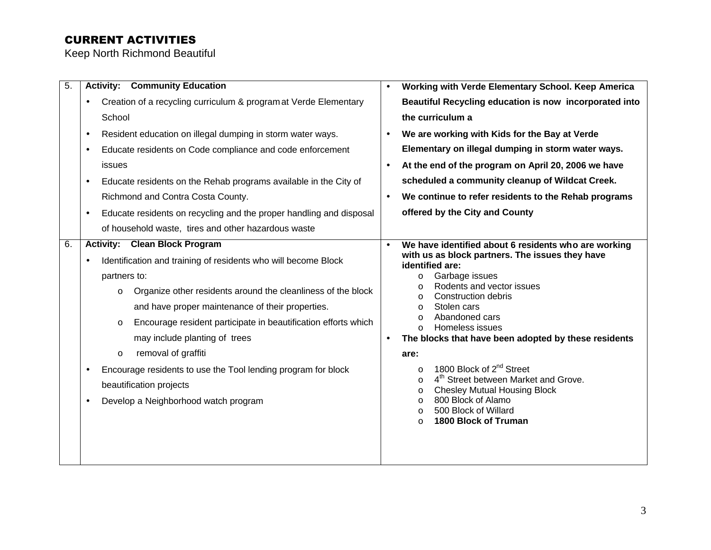| $\overline{5}$ . | <b>Activity: Community Education</b>                                                                                                                                                                                                                                                                                                                                                                                                                                                                                                                                             | $\bullet$                           | Working with Verde Elementary School. Keep America                                                                                                                                                                                                                                                                                                                                                                                                                                                                                                                                                                                                                  |
|------------------|----------------------------------------------------------------------------------------------------------------------------------------------------------------------------------------------------------------------------------------------------------------------------------------------------------------------------------------------------------------------------------------------------------------------------------------------------------------------------------------------------------------------------------------------------------------------------------|-------------------------------------|---------------------------------------------------------------------------------------------------------------------------------------------------------------------------------------------------------------------------------------------------------------------------------------------------------------------------------------------------------------------------------------------------------------------------------------------------------------------------------------------------------------------------------------------------------------------------------------------------------------------------------------------------------------------|
|                  | Creation of a recycling curriculum & program at Verde Elementary<br>$\bullet$<br>School                                                                                                                                                                                                                                                                                                                                                                                                                                                                                          |                                     | Beautiful Recycling education is now incorporated into<br>the curriculum a                                                                                                                                                                                                                                                                                                                                                                                                                                                                                                                                                                                          |
|                  | Resident education on illegal dumping in storm water ways.<br>$\bullet$<br>Educate residents on Code compliance and code enforcement<br>$\bullet$<br>issues<br>Educate residents on the Rehab programs available in the City of<br>$\bullet$<br>Richmond and Contra Costa County.<br>Educate residents on recycling and the proper handling and disposal<br>$\bullet$                                                                                                                                                                                                            | $\bullet$<br>$\bullet$<br>$\bullet$ | We are working with Kids for the Bay at Verde<br>Elementary on illegal dumping in storm water ways.<br>At the end of the program on April 20, 2006 we have<br>scheduled a community cleanup of Wildcat Creek.<br>We continue to refer residents to the Rehab programs<br>offered by the City and County                                                                                                                                                                                                                                                                                                                                                             |
|                  | of household waste, tires and other hazardous waste                                                                                                                                                                                                                                                                                                                                                                                                                                                                                                                              |                                     |                                                                                                                                                                                                                                                                                                                                                                                                                                                                                                                                                                                                                                                                     |
| 6.               | <b>Activity: Clean Block Program</b><br>Identification and training of residents who will become Block<br>$\bullet$<br>partners to:<br>Organize other residents around the cleanliness of the block<br>$\circ$<br>and have proper maintenance of their properties.<br>Encourage resident participate in beautification efforts which<br>$\circ$<br>may include planting of trees<br>removal of graffiti<br>$\circ$<br>Encourage residents to use the Tool lending program for block<br>$\bullet$<br>beautification projects<br>Develop a Neighborhood watch program<br>$\bullet$ | $\bullet$                           | We have identified about 6 residents who are working<br>with us as block partners. The issues they have<br>identified are:<br>Garbage issues<br>$\circ$<br>Rodents and vector issues<br>$\circ$<br>Construction debris<br>$\circ$<br>Stolen cars<br>$\circ$<br>Abandoned cars<br>$\circ$<br>Homeless issues<br>$\Omega$<br>The blocks that have been adopted by these residents<br>are:<br>1800 Block of 2 <sup>nd</sup> Street<br>$\circ$<br>4 <sup>th</sup> Street between Market and Grove.<br>$\circ$<br><b>Chesley Mutual Housing Block</b><br>$\circ$<br>800 Block of Alamo<br>$\circ$<br>500 Block of Willard<br>$\circ$<br>1800 Block of Truman<br>$\Omega$ |